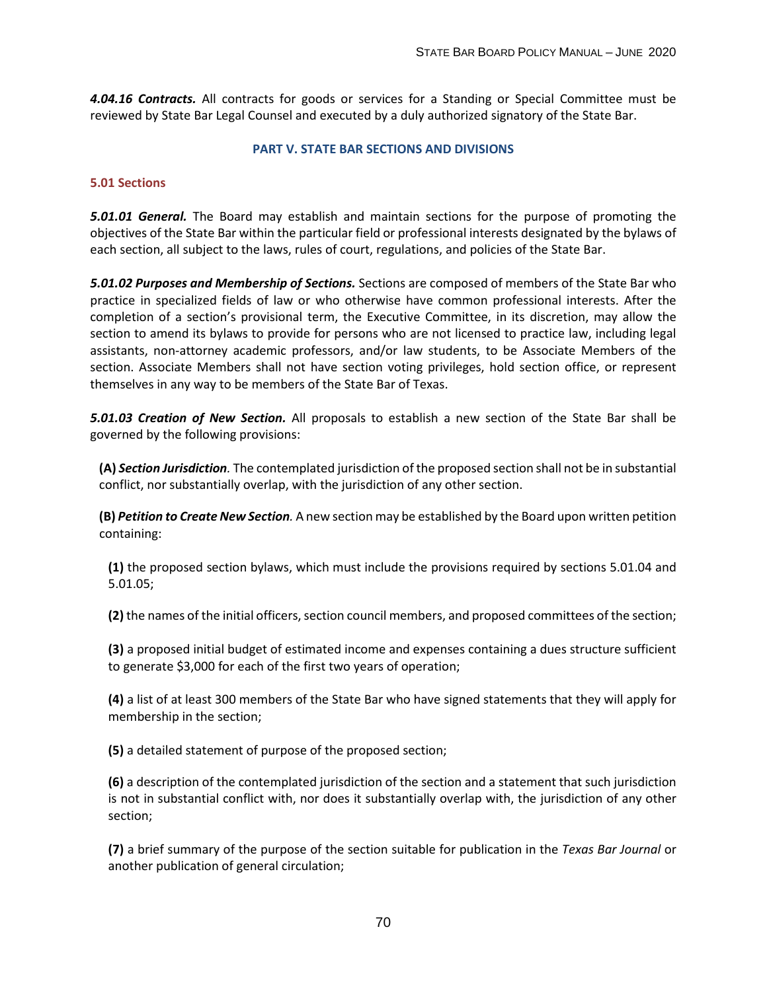*4.04.16 Contracts.* All contracts for goods or services for a Standing or Special Committee must be reviewed by State Bar Legal Counsel and executed by a duly authorized signatory of the State Bar.

#### **PART V. STATE BAR SECTIONS AND DIVISIONS**

# **5.01 Sections**

*5.01.01 General.* The Board may establish and maintain sections for the purpose of promoting the objectives of the State Bar within the particular field or professional interests designated by the bylaws of each section, all subject to the laws, rules of court, regulations, and policies of the State Bar.

*5.01.02 Purposes and Membership of Sections.* Sections are composed of members of the State Bar who practice in specialized fields of law or who otherwise have common professional interests. After the completion of a section's provisional term, the Executive Committee, in its discretion, may allow the section to amend its bylaws to provide for persons who are not licensed to practice law, including legal assistants, non-attorney academic professors, and/or law students, to be Associate Members of the section. Associate Members shall not have section voting privileges, hold section office, or represent themselves in any way to be members of the State Bar of Texas.

*5.01.03 Creation of New Section.* All proposals to establish a new section of the State Bar shall be governed by the following provisions:

**(A)** *Section Jurisdiction.* The contemplated jurisdiction of the proposed section shall not be in substantial conflict, nor substantially overlap, with the jurisdiction of any other section.

**(B)** *Petition to Create New Section.* A new section may be established by the Board upon written petition containing:

**(1)** the proposed section bylaws, which must include the provisions required by sections 5.01.04 and 5.01.05;

**(2)** the names of the initial officers, section council members, and proposed committees of the section;

**(3)** a proposed initial budget of estimated income and expenses containing a dues structure sufficient to generate \$3,000 for each of the first two years of operation;

**(4)** a list of at least 300 members of the State Bar who have signed statements that they will apply for membership in the section;

**(5)** a detailed statement of purpose of the proposed section;

**(6)** a description of the contemplated jurisdiction of the section and a statement that such jurisdiction is not in substantial conflict with, nor does it substantially overlap with, the jurisdiction of any other section;

**(7)** a brief summary of the purpose of the section suitable for publication in the *Texas Bar Journal* or another publication of general circulation;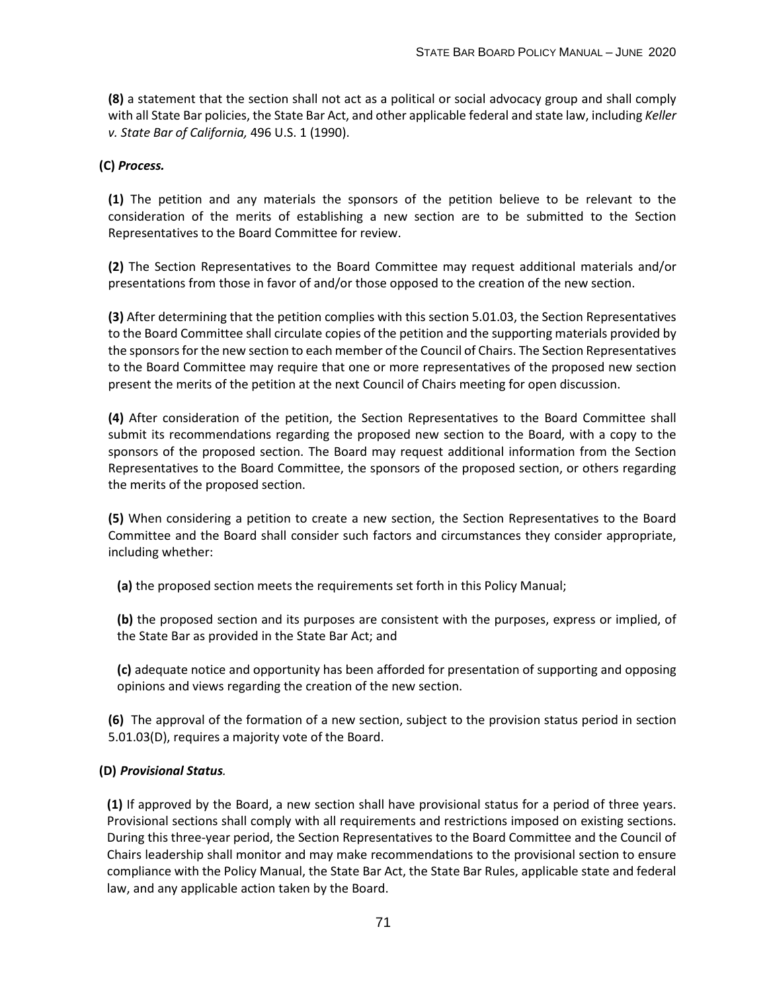**(8)** a statement that the section shall not act as a political or social advocacy group and shall comply with all State Bar policies, the State Bar Act, and other applicable federal and state law, including *Keller v. State Bar of California,* 496 U.S. 1 (1990).

# **(C)** *Process.*

**(1)** The petition and any materials the sponsors of the petition believe to be relevant to the consideration of the merits of establishing a new section are to be submitted to the Section Representatives to the Board Committee for review.

**(2)** The Section Representatives to the Board Committee may request additional materials and/or presentations from those in favor of and/or those opposed to the creation of the new section.

**(3)** After determining that the petition complies with this section 5.01.03, the Section Representatives to the Board Committee shall circulate copies of the petition and the supporting materials provided by the sponsors for the new section to each member of the Council of Chairs. The Section Representatives to the Board Committee may require that one or more representatives of the proposed new section present the merits of the petition at the next Council of Chairs meeting for open discussion.

**(4)** After consideration of the petition, the Section Representatives to the Board Committee shall submit its recommendations regarding the proposed new section to the Board, with a copy to the sponsors of the proposed section. The Board may request additional information from the Section Representatives to the Board Committee, the sponsors of the proposed section, or others regarding the merits of the proposed section.

**(5)** When considering a petition to create a new section, the Section Representatives to the Board Committee and the Board shall consider such factors and circumstances they consider appropriate, including whether:

**(a)** the proposed section meets the requirements set forth in this Policy Manual;

**(b)** the proposed section and its purposes are consistent with the purposes, express or implied, of the State Bar as provided in the State Bar Act; and

**(c)** adequate notice and opportunity has been afforded for presentation of supporting and opposing opinions and views regarding the creation of the new section.

**(6)** The approval of the formation of a new section, subject to the provision status period in section 5.01.03(D), requires a majority vote of the Board.

# **(D)** *Provisional Status.*

**(1)** If approved by the Board, a new section shall have provisional status for a period of three years. Provisional sections shall comply with all requirements and restrictions imposed on existing sections. During this three-year period, the Section Representatives to the Board Committee and the Council of Chairs leadership shall monitor and may make recommendations to the provisional section to ensure compliance with the Policy Manual, the State Bar Act, the State Bar Rules, applicable state and federal law, and any applicable action taken by the Board.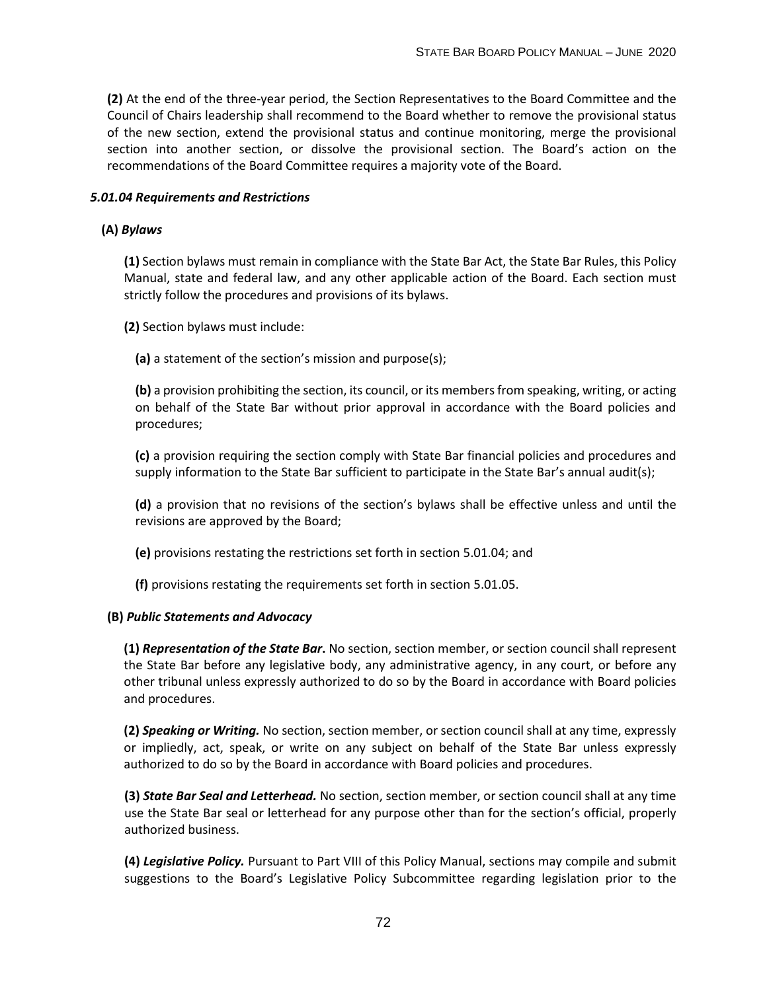**(2)** At the end of the three-year period, the Section Representatives to the Board Committee and the Council of Chairs leadership shall recommend to the Board whether to remove the provisional status of the new section, extend the provisional status and continue monitoring, merge the provisional section into another section, or dissolve the provisional section. The Board's action on the recommendations of the Board Committee requires a majority vote of the Board.

### *5.01.04 Requirements and Restrictions*

### **(A)** *Bylaws*

**(1)** Section bylaws must remain in compliance with the State Bar Act, the State Bar Rules, this Policy Manual, state and federal law, and any other applicable action of the Board. Each section must strictly follow the procedures and provisions of its bylaws.

**(2)** Section bylaws must include:

**(a)** a statement of the section's mission and purpose(s);

**(b)** a provision prohibiting the section, its council, or its members from speaking, writing, or acting on behalf of the State Bar without prior approval in accordance with the Board policies and procedures;

**(c)** a provision requiring the section comply with State Bar financial policies and procedures and supply information to the State Bar sufficient to participate in the State Bar's annual audit(s);

**(d)** a provision that no revisions of the section's bylaws shall be effective unless and until the revisions are approved by the Board;

**(e)** provisions restating the restrictions set forth in section 5.01.04; and

**(f)** provisions restating the requirements set forth in section 5.01.05.

#### **(B)** *Public Statements and Advocacy*

**(1)** *Representation of the State Bar***.** No section, section member, or section council shall represent the State Bar before any legislative body, any administrative agency, in any court, or before any other tribunal unless expressly authorized to do so by the Board in accordance with Board policies and procedures.

**(2)** *Speaking or Writing.* No section, section member, or section council shall at any time, expressly or impliedly, act, speak, or write on any subject on behalf of the State Bar unless expressly authorized to do so by the Board in accordance with Board policies and procedures.

**(3)** *State Bar Seal and Letterhead.* No section, section member, or section council shall at any time use the State Bar seal or letterhead for any purpose other than for the section's official, properly authorized business.

**(4)** *Legislative Policy.* Pursuant to Part VIII of this Policy Manual, sections may compile and submit suggestions to the Board's Legislative Policy Subcommittee regarding legislation prior to the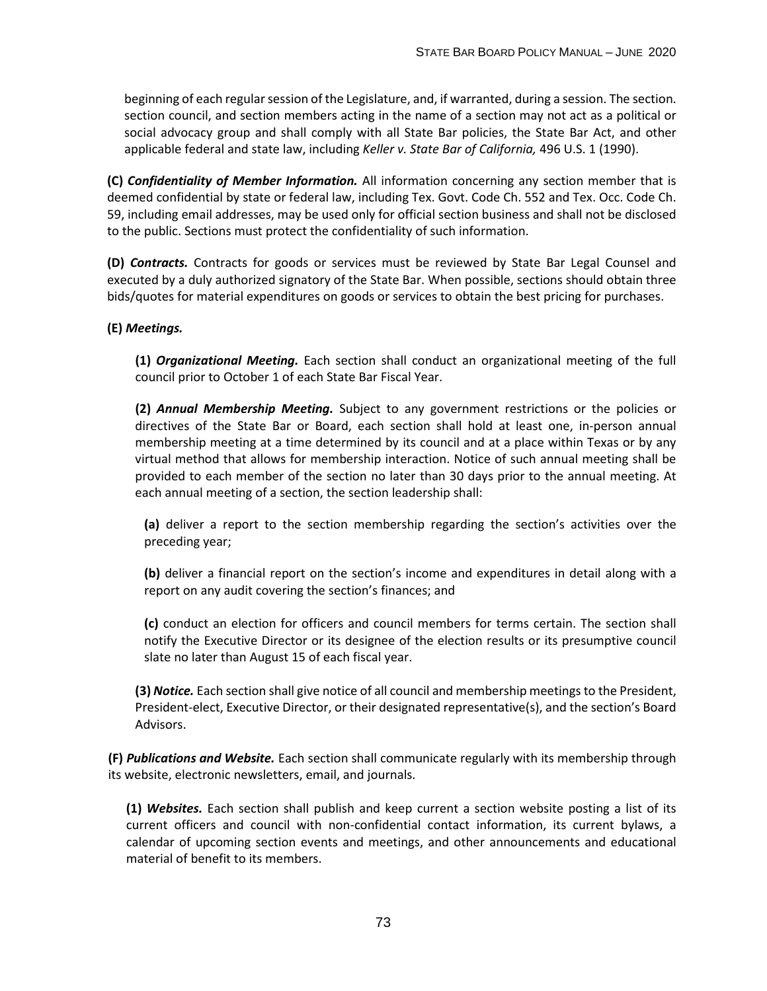beginning of each regular session of the Legislature, and, if warranted, during a session. The section. section council, and section members acting in the name of a section may not act as a political or social advocacy group and shall comply with all State Bar policies, the State Bar Act, and other applicable federal and state law, including *Keller v. State Bar of California,* 496 U.S. 1 (1990).

**(C)** *Confidentiality of Member Information.* All information concerning any section member that is deemed confidential by state or federal law, including Tex. Govt. Code Ch. 552 and Tex. Occ. Code Ch. 59, including email addresses, may be used only for official section business and shall not be disclosed to the public. Sections must protect the confidentiality of such information.

**(D)** *Contracts.* Contracts for goods or services must be reviewed by State Bar Legal Counsel and executed by a duly authorized signatory of the State Bar. When possible, sections should obtain three bids/quotes for material expenditures on goods or services to obtain the best pricing for purchases.

# **(E)** *Meetings.*

**(1)** *Organizational Meeting.* Each section shall conduct an organizational meeting of the full council prior to October 1 of each State Bar Fiscal Year.

**(2)** *Annual Membership Meeting.* Subject to any government restrictions or the policies or directives of the State Bar or Board, each section shall hold at least one, in-person annual membership meeting at a time determined by its council and at a place within Texas or by any virtual method that allows for membership interaction. Notice of such annual meeting shall be provided to each member of the section no later than 30 days prior to the annual meeting. At each annual meeting of a section, the section leadership shall:

**(a)** deliver a report to the section membership regarding the section's activities over the preceding year;

**(b)** deliver a financial report on the section's income and expenditures in detail along with a report on any audit covering the section's finances; and

**(c)** conduct an election for officers and council members for terms certain. The section shall notify the Executive Director or its designee of the election results or its presumptive council slate no later than August 15 of each fiscal year.

**(3)** *Notice.* Each section shall give notice of all council and membership meetings to the President, President-elect, Executive Director, or their designated representative(s), and the section's Board Advisors.

**(F)** *Publications and Website.* Each section shall communicate regularly with its membership through its website, electronic newsletters, email, and journals.

**(1)** *Websites.* Each section shall publish and keep current a section website posting a list of its current officers and council with non-confidential contact information, its current bylaws, a calendar of upcoming section events and meetings, and other announcements and educational material of benefit to its members.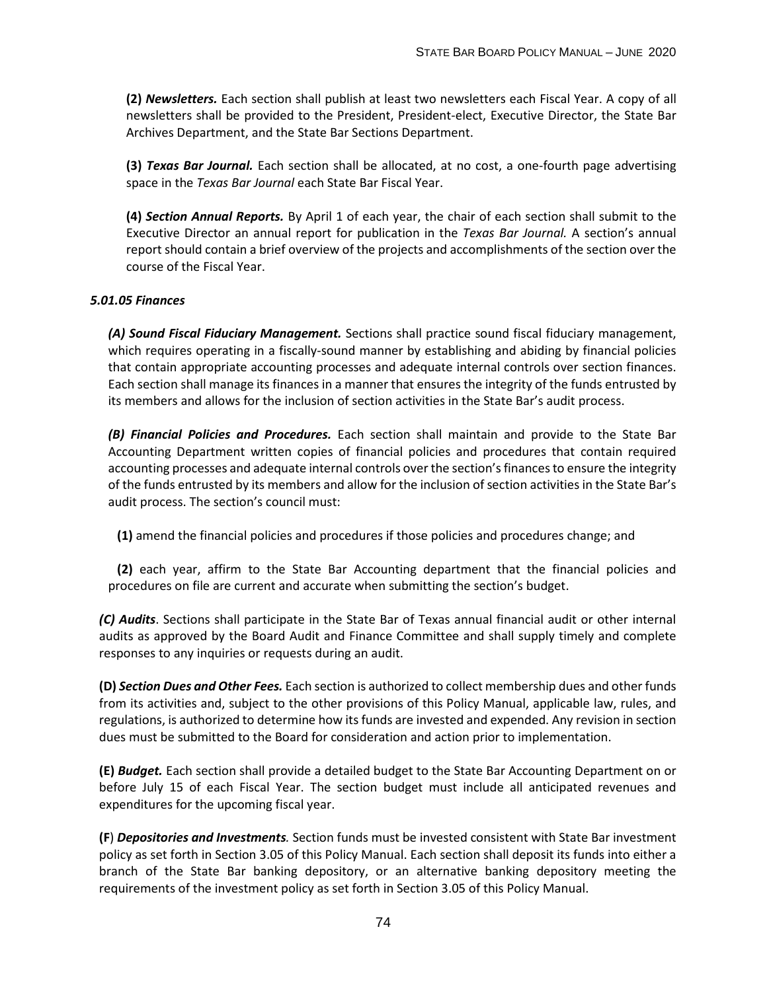**(2)** *Newsletters.* Each section shall publish at least two newsletters each Fiscal Year. A copy of all newsletters shall be provided to the President, President-elect, Executive Director, the State Bar Archives Department, and the State Bar Sections Department.

**(3)** *Texas Bar Journal.* Each section shall be allocated, at no cost, a one-fourth page advertising space in the *Texas Bar Journal* each State Bar Fiscal Year.

**(4)** *Section Annual Reports.* By April 1 of each year, the chair of each section shall submit to the Executive Director an annual report for publication in the *Texas Bar Journal.* A section's annual report should contain a brief overview of the projects and accomplishments of the section over the course of the Fiscal Year.

### *5.01.05 Finances*

*(A) Sound Fiscal Fiduciary Management.* Sections shall practice sound fiscal fiduciary management, which requires operating in a fiscally-sound manner by establishing and abiding by financial policies that contain appropriate accounting processes and adequate internal controls over section finances. Each section shall manage its finances in a manner that ensures the integrity of the funds entrusted by its members and allows for the inclusion of section activities in the State Bar's audit process.

*(B) Financial Policies and Procedures.* Each section shall maintain and provide to the State Bar Accounting Department written copies of financial policies and procedures that contain required accounting processes and adequate internal controls over the section's finances to ensure the integrity of the funds entrusted by its members and allow for the inclusion of section activities in the State Bar's audit process. The section's council must:

**(1)** amend the financial policies and procedures if those policies and procedures change; and

**(2)** each year, affirm to the State Bar Accounting department that the financial policies and procedures on file are current and accurate when submitting the section's budget.

*(C) Audits*. Sections shall participate in the State Bar of Texas annual financial audit or other internal audits as approved by the Board Audit and Finance Committee and shall supply timely and complete responses to any inquiries or requests during an audit.

**(D)** *Section Dues and Other Fees.* Each section is authorized to collect membership dues and other funds from its activities and, subject to the other provisions of this Policy Manual, applicable law, rules, and regulations, is authorized to determine how its funds are invested and expended. Any revision in section dues must be submitted to the Board for consideration and action prior to implementation.

**(E)** *Budget.* Each section shall provide a detailed budget to the State Bar Accounting Department on or before July 15 of each Fiscal Year. The section budget must include all anticipated revenues and expenditures for the upcoming fiscal year.

**(F**) *Depositories and Investments.* Section funds must be invested consistent with State Bar investment policy as set forth in Section 3.05 of this Policy Manual. Each section shall deposit its funds into either a branch of the State Bar banking depository, or an alternative banking depository meeting the requirements of the investment policy as set forth in Section 3.05 of this Policy Manual.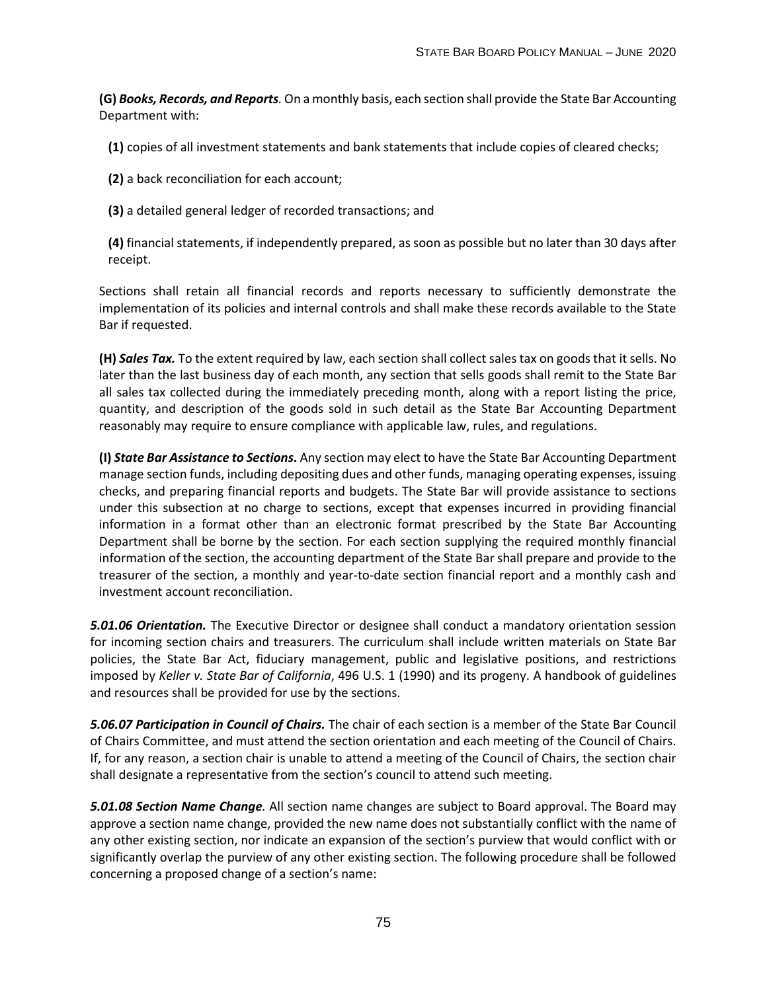**(G)** *Books, Records, and Reports.* On a monthly basis, each section shall provide the State Bar Accounting Department with:

**(1)** copies of all investment statements and bank statements that include copies of cleared checks;

**(2)** a back reconciliation for each account;

**(3)** a detailed general ledger of recorded transactions; and

**(4)** financial statements, if independently prepared, as soon as possible but no later than 30 days after receipt.

Sections shall retain all financial records and reports necessary to sufficiently demonstrate the implementation of its policies and internal controls and shall make these records available to the State Bar if requested.

**(H)** *Sales Tax.* To the extent required by law, each section shall collect sales tax on goods that it sells. No later than the last business day of each month, any section that sells goods shall remit to the State Bar all sales tax collected during the immediately preceding month, along with a report listing the price, quantity, and description of the goods sold in such detail as the State Bar Accounting Department reasonably may require to ensure compliance with applicable law, rules, and regulations.

**(I)** *State Bar Assistance to Sections***.** Any section may elect to have the State Bar Accounting Department manage section funds, including depositing dues and other funds, managing operating expenses, issuing checks, and preparing financial reports and budgets. The State Bar will provide assistance to sections under this subsection at no charge to sections, except that expenses incurred in providing financial information in a format other than an electronic format prescribed by the State Bar Accounting Department shall be borne by the section. For each section supplying the required monthly financial information of the section, the accounting department of the State Bar shall prepare and provide to the treasurer of the section, a monthly and year-to-date section financial report and a monthly cash and investment account reconciliation.

*5.01.06 Orientation.* The Executive Director or designee shall conduct a mandatory orientation session for incoming section chairs and treasurers. The curriculum shall include written materials on State Bar policies, the State Bar Act, fiduciary management, public and legislative positions, and restrictions imposed by *Keller v. State Bar of California*, 496 U.S. 1 (1990) and its progeny. A handbook of guidelines and resources shall be provided for use by the sections.

*5.06.07 Participation in Council of Chairs.* The chair of each section is a member of the State Bar Council of Chairs Committee, and must attend the section orientation and each meeting of the Council of Chairs. If, for any reason, a section chair is unable to attend a meeting of the Council of Chairs, the section chair shall designate a representative from the section's council to attend such meeting.

*5.01.08 Section Name Change.* All section name changes are subject to Board approval. The Board may approve a section name change, provided the new name does not substantially conflict with the name of any other existing section, nor indicate an expansion of the section's purview that would conflict with or significantly overlap the purview of any other existing section. The following procedure shall be followed concerning a proposed change of a section's name: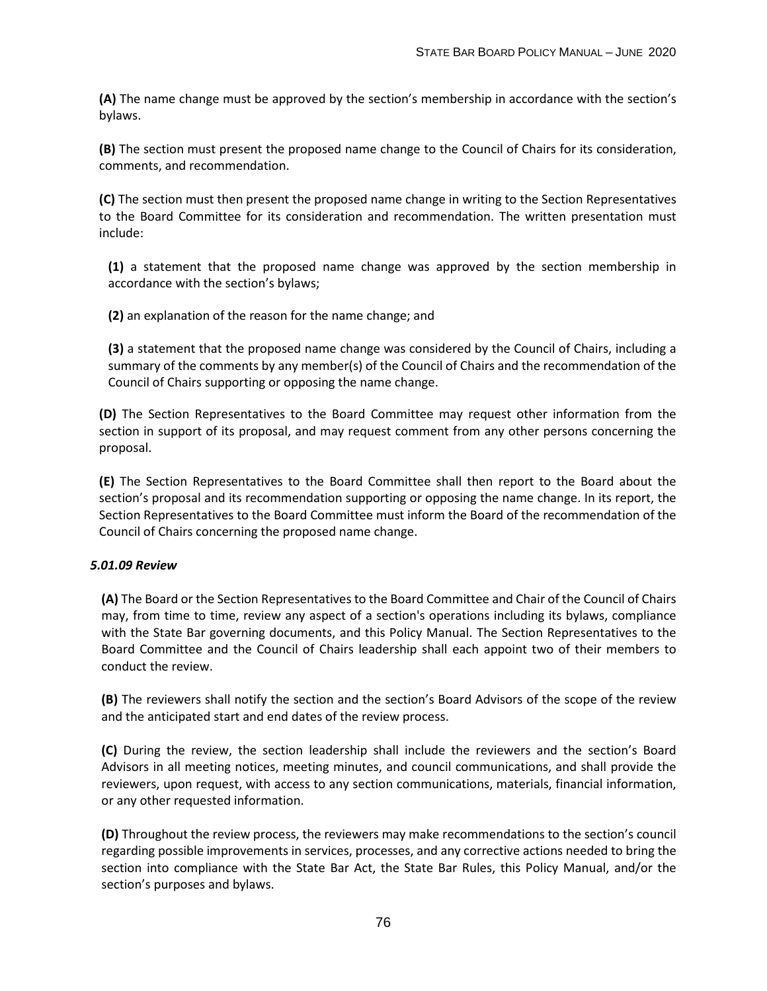**(A)** The name change must be approved by the section's membership in accordance with the section's bylaws.

**(B)** The section must present the proposed name change to the Council of Chairs for its consideration, comments, and recommendation.

**(C)** The section must then present the proposed name change in writing to the Section Representatives to the Board Committee for its consideration and recommendation. The written presentation must include:

**(1)** a statement that the proposed name change was approved by the section membership in accordance with the section's bylaws;

**(2)** an explanation of the reason for the name change; and

**(3)** a statement that the proposed name change was considered by the Council of Chairs, including a summary of the comments by any member(s) of the Council of Chairs and the recommendation of the Council of Chairs supporting or opposing the name change.

**(D)** The Section Representatives to the Board Committee may request other information from the section in support of its proposal, and may request comment from any other persons concerning the proposal.

**(E)** The Section Representatives to the Board Committee shall then report to the Board about the section's proposal and its recommendation supporting or opposing the name change. In its report, the Section Representatives to the Board Committee must inform the Board of the recommendation of the Council of Chairs concerning the proposed name change.

# *5.01.09 Review*

**(A)** The Board or the Section Representatives to the Board Committee and Chair of the Council of Chairs may, from time to time, review any aspect of a section's operations including its bylaws, compliance with the State Bar governing documents, and this Policy Manual. The Section Representatives to the Board Committee and the Council of Chairs leadership shall each appoint two of their members to conduct the review.

**(B)** The reviewers shall notify the section and the section's Board Advisors of the scope of the review and the anticipated start and end dates of the review process.

**(C)** During the review, the section leadership shall include the reviewers and the section's Board Advisors in all meeting notices, meeting minutes, and council communications, and shall provide the reviewers, upon request, with access to any section communications, materials, financial information, or any other requested information.

**(D)** Throughout the review process, the reviewers may make recommendations to the section's council regarding possible improvements in services, processes, and any corrective actions needed to bring the section into compliance with the State Bar Act, the State Bar Rules, this Policy Manual, and/or the section's purposes and bylaws.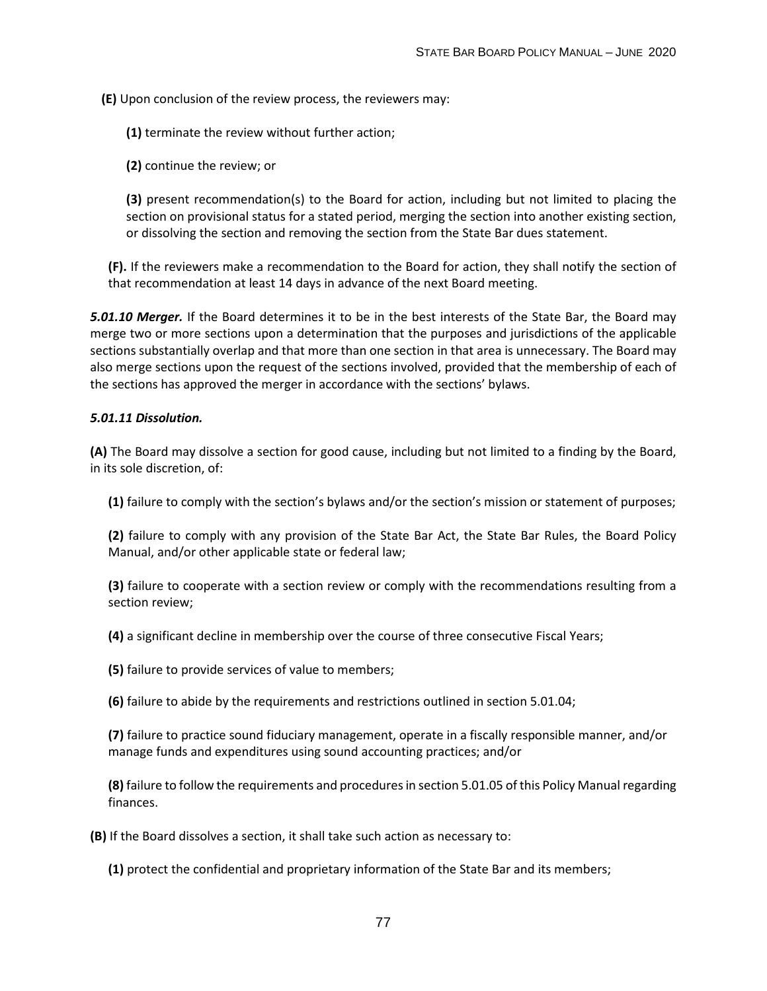**(E)** Upon conclusion of the review process, the reviewers may:

**(1)** terminate the review without further action;

**(2)** continue the review; or

**(3)** present recommendation(s) to the Board for action, including but not limited to placing the section on provisional status for a stated period, merging the section into another existing section, or dissolving the section and removing the section from the State Bar dues statement.

**(F).** If the reviewers make a recommendation to the Board for action, they shall notify the section of that recommendation at least 14 days in advance of the next Board meeting.

*5.01.10 Merger.* If the Board determines it to be in the best interests of the State Bar, the Board may merge two or more sections upon a determination that the purposes and jurisdictions of the applicable sections substantially overlap and that more than one section in that area is unnecessary. The Board may also merge sections upon the request of the sections involved, provided that the membership of each of the sections has approved the merger in accordance with the sections' bylaws.

### *5.01.11 Dissolution.*

**(A)** The Board may dissolve a section for good cause, including but not limited to a finding by the Board, in its sole discretion, of:

**(1)** failure to comply with the section's bylaws and/or the section's mission or statement of purposes;

**(2)** failure to comply with any provision of the State Bar Act, the State Bar Rules, the Board Policy Manual, and/or other applicable state or federal law;

**(3)** failure to cooperate with a section review or comply with the recommendations resulting from a section review;

**(4)** a significant decline in membership over the course of three consecutive Fiscal Years;

**(5)** failure to provide services of value to members;

**(6)** failure to abide by the requirements and restrictions outlined in section 5.01.04;

**(7)** failure to practice sound fiduciary management, operate in a fiscally responsible manner, and/or manage funds and expenditures using sound accounting practices; and/or

**(8)** failure to follow the requirements and procedures in section 5.01.05 of this Policy Manual regarding finances.

**(B)** If the Board dissolves a section, it shall take such action as necessary to:

**(1)** protect the confidential and proprietary information of the State Bar and its members;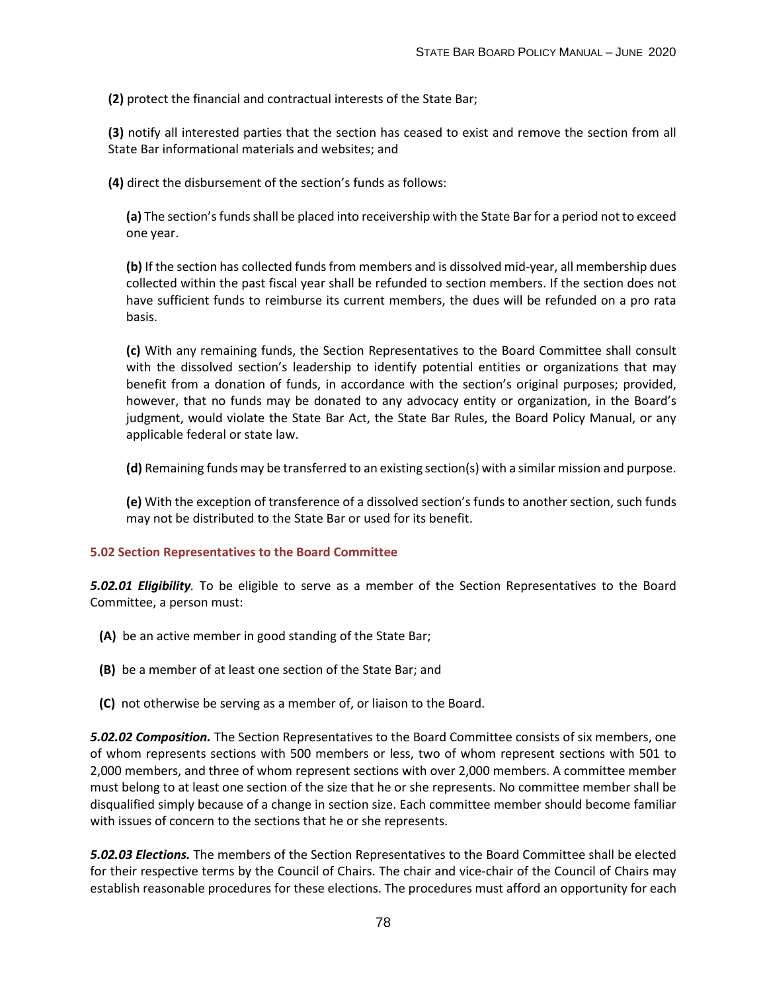**(2)** protect the financial and contractual interests of the State Bar;

**(3)** notify all interested parties that the section has ceased to exist and remove the section from all State Bar informational materials and websites; and

**(4)** direct the disbursement of the section's funds as follows:

**(a)** The section's funds shall be placed into receivership with the State Bar for a period not to exceed one year.

**(b)** If the section has collected funds from members and is dissolved mid-year, all membership dues collected within the past fiscal year shall be refunded to section members. If the section does not have sufficient funds to reimburse its current members, the dues will be refunded on a pro rata basis.

**(c)** With any remaining funds, the Section Representatives to the Board Committee shall consult with the dissolved section's leadership to identify potential entities or organizations that may benefit from a donation of funds, in accordance with the section's original purposes; provided, however, that no funds may be donated to any advocacy entity or organization, in the Board's judgment, would violate the State Bar Act, the State Bar Rules, the Board Policy Manual, or any applicable federal or state law.

**(d)** Remaining funds may be transferred to an existing section(s) with a similar mission and purpose.

**(e)** With the exception of transference of a dissolved section's funds to another section, such funds may not be distributed to the State Bar or used for its benefit.

# **5.02 Section Representatives to the Board Committee**

*5.02.01 Eligibility.* To be eligible to serve as a member of the Section Representatives to the Board Committee, a person must:

- **(A)** be an active member in good standing of the State Bar;
- **(B)** be a member of at least one section of the State Bar; and
- **(C)** not otherwise be serving as a member of, or liaison to the Board.

*5.02.02 Composition.* The Section Representatives to the Board Committee consists of six members, one of whom represents sections with 500 members or less, two of whom represent sections with 501 to 2,000 members, and three of whom represent sections with over 2,000 members. A committee member must belong to at least one section of the size that he or she represents. No committee member shall be disqualified simply because of a change in section size. Each committee member should become familiar with issues of concern to the sections that he or she represents.

*5.02.03 Elections.* The members of the Section Representatives to the Board Committee shall be elected for their respective terms by the Council of Chairs. The chair and vice-chair of the Council of Chairs may establish reasonable procedures for these elections. The procedures must afford an opportunity for each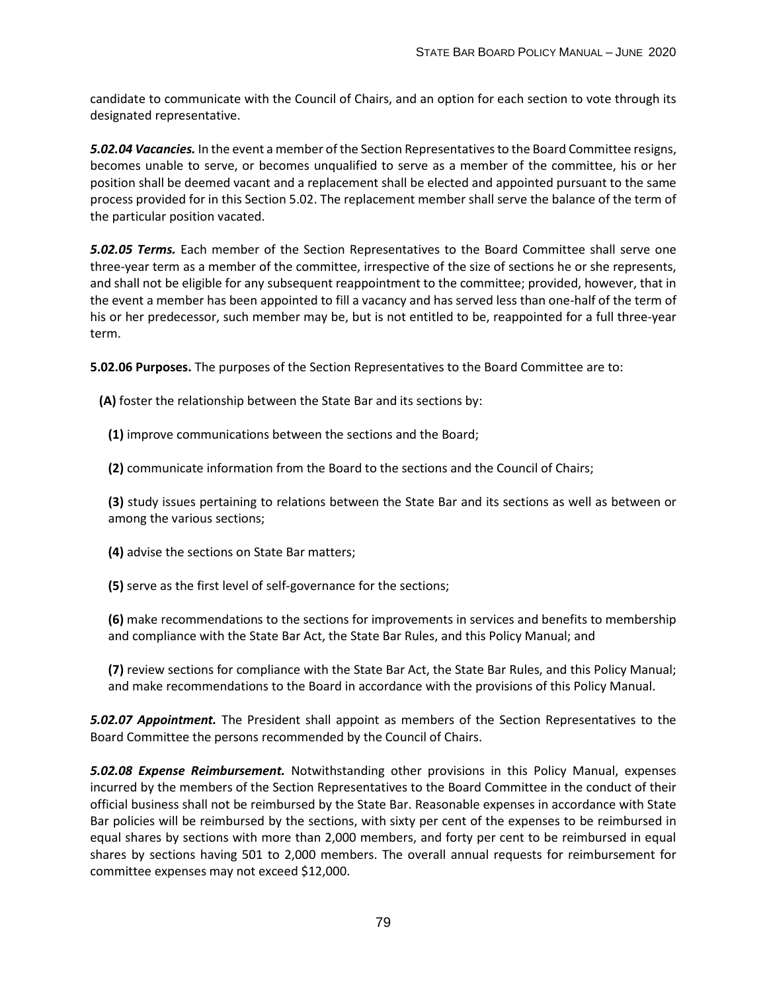candidate to communicate with the Council of Chairs, and an option for each section to vote through its designated representative.

*5.02.04 Vacancies.* In the event a member of the Section Representatives to the Board Committee resigns, becomes unable to serve, or becomes unqualified to serve as a member of the committee, his or her position shall be deemed vacant and a replacement shall be elected and appointed pursuant to the same process provided for in this Section 5.02. The replacement member shall serve the balance of the term of the particular position vacated.

*5.02.05 Terms.* Each member of the Section Representatives to the Board Committee shall serve one three-year term as a member of the committee, irrespective of the size of sections he or she represents, and shall not be eligible for any subsequent reappointment to the committee; provided, however, that in the event a member has been appointed to fill a vacancy and has served less than one-half of the term of his or her predecessor, such member may be, but is not entitled to be, reappointed for a full three-year term.

**5.02.06 Purposes.** The purposes of the Section Representatives to the Board Committee are to:

**(A)** foster the relationship between the State Bar and its sections by:

**(1)** improve communications between the sections and the Board;

**(2)** communicate information from the Board to the sections and the Council of Chairs;

**(3)** study issues pertaining to relations between the State Bar and its sections as well as between or among the various sections;

- **(4)** advise the sections on State Bar matters;
- **(5)** serve as the first level of self-governance for the sections;

**(6)** make recommendations to the sections for improvements in services and benefits to membership and compliance with the State Bar Act, the State Bar Rules, and this Policy Manual; and

**(7)** review sections for compliance with the State Bar Act, the State Bar Rules, and this Policy Manual; and make recommendations to the Board in accordance with the provisions of this Policy Manual.

*5.02.07 Appointment.* The President shall appoint as members of the Section Representatives to the Board Committee the persons recommended by the Council of Chairs.

*5.02.08 Expense Reimbursement.* Notwithstanding other provisions in this Policy Manual, expenses incurred by the members of the Section Representatives to the Board Committee in the conduct of their official business shall not be reimbursed by the State Bar. Reasonable expenses in accordance with State Bar policies will be reimbursed by the sections, with sixty per cent of the expenses to be reimbursed in equal shares by sections with more than 2,000 members, and forty per cent to be reimbursed in equal shares by sections having 501 to 2,000 members. The overall annual requests for reimbursement for committee expenses may not exceed \$12,000.